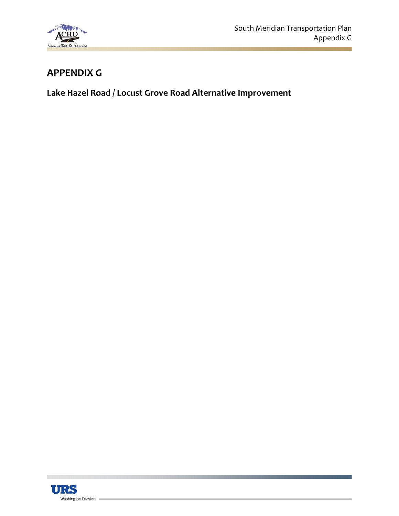

## **APPENDIX G**

**Lake Hazel Road / Locust Grove Road Alternative Improvement**

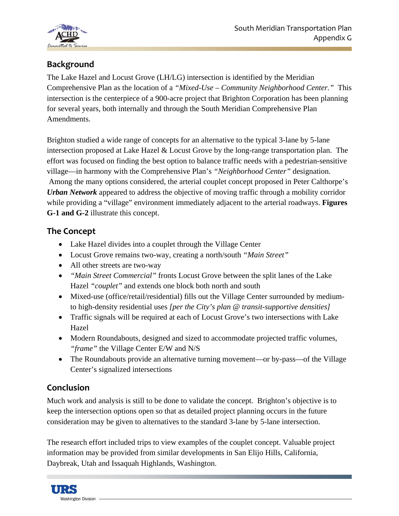

## **Background**

The Lake Hazel and Locust Grove (LH/LG) intersection is identified by the Meridian Comprehensive Plan as the location of a *"Mixed-Use – Community Neighborhood Center."* This intersection is the centerpiece of a 900-acre project that Brighton Corporation has been planning for several years, both internally and through the South Meridian Comprehensive Plan Amendments.

Brighton studied a wide range of concepts for an alternative to the typical 3-lane by 5-lane intersection proposed at Lake Hazel & Locust Grove by the long-range transportation plan. The effort was focused on finding the best option to balance traffic needs with a pedestrian-sensitive village—in harmony with the Comprehensive Plan's *"Neighborhood Center"* designation. Among the many options considered, the arterial couplet concept proposed in Peter Calthorpe's *Urban Network* appeared to address the objective of moving traffic through a mobility corridor while providing a "village" environment immediately adjacent to the arterial roadways. **Figures G-1 and G-2** illustrate this concept.

## **The Concept**

- Lake Hazel divides into a couplet through the Village Center
- Locust Grove remains two-way, creating a north/south *"Main Street"*
- All other streets are two-way
- *"Main Street Commercial"* fronts Locust Grove between the split lanes of the Lake Hazel *"couplet"* and extends one block both north and south
- Mixed-use (office/retail/residential) fills out the Village Center surrounded by mediumto high-density residential uses *[per the City's plan @ transit-supportive densities]*
- Traffic signals will be required at each of Locust Grove's two intersections with Lake Hazel
- Modern Roundabouts, designed and sized to accommodate projected traffic volumes, *"frame"* the Village Center E/W and N/S
- The Roundabouts provide an alternative turning movement—or by-pass—of the Village Center's signalized intersections

## **Conclusion**

Much work and analysis is still to be done to validate the concept. Brighton's objective is to keep the intersection options open so that as detailed project planning occurs in the future consideration may be given to alternatives to the standard 3-lane by 5-lane intersection.

The research effort included trips to view examples of the couplet concept. Valuable project information may be provided from similar developments in San Elijo Hills, California, Daybreak, Utah and Issaquah Highlands, Washington.

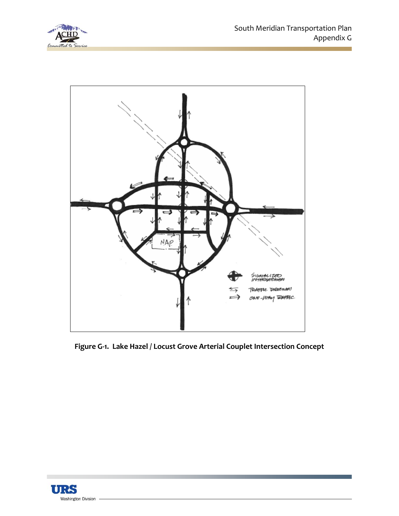



**Figure G‐1. Lake Hazel / Locust Grove Arterial Couplet Intersection Concept**